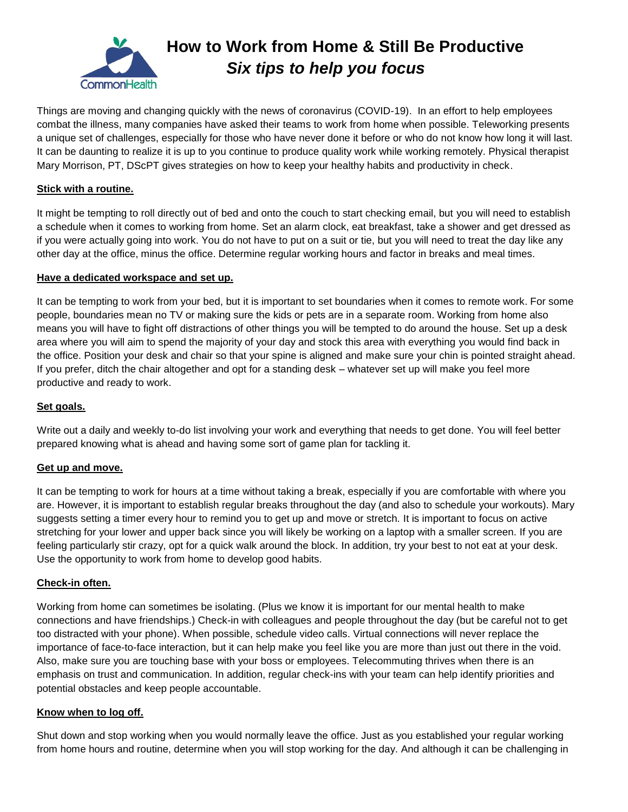

# **How to Work from Home & Still Be Productive** *Six tips to help you focus*

Things are moving and changing quickly with the news of coronavirus (COVID-19). In an effort to help employees combat the illness, many companies have asked their teams to work from home when possible. Teleworking presents a unique set of challenges, especially for those who have never done it before or who do not know how long it will last. It can be daunting to realize it is up to you continue to produce quality work while working remotely. Physical therapist Mary Morrison, PT, DScPT gives strategies on how to keep your healthy habits and productivity in check.

# **Stick with a routine.**

It might be tempting to roll directly out of bed and onto the couch to start checking email, but you will need to establish a schedule when it comes to working from home. Set an alarm clock, eat breakfast, take a shower and get dressed as if you were actually going into work. You do not have to put on a suit or tie, but you will need to treat the day like any other day at the office, minus the office. Determine regular working hours and factor in breaks and meal times.

### **Have a dedicated workspace and set up.**

It can be tempting to work from your bed, but it is important to set boundaries when it comes to remote work. For some people, boundaries mean no TV or making sure the kids or pets are in a separate room. Working from home also means you will have to fight off distractions of other things you will be tempted to do around the house. Set up a desk area where you will aim to spend the majority of your day and stock this area with everything you would find back in the office. Position your desk and chair so that your spine is aligned and make sure your chin is pointed straight ahead. If you prefer, ditch the chair altogether and opt for a standing desk – whatever set up will make you feel more productive and ready to work.

# **Set goals.**

Write out a daily and weekly to-do list involving your work and everything that needs to get done. You will feel better prepared knowing what is ahead and having some sort of game plan for tackling it.

# **Get up and move.**

It can be tempting to work for hours at a time without taking a break, especially if you are comfortable with where you are. However, it is important to establish regular breaks throughout the day (and also to schedule your workouts). Mary suggests setting a timer every hour to remind you to get up and move or stretch. It is important to focus on active stretching for your lower and upper back since you will likely be working on a laptop with a smaller screen. If you are feeling particularly stir crazy, opt for a quick walk around the block. In addition, try your best to not eat at your desk. Use the opportunity to work from home to develop good habits.

#### **Check-in often.**

Working from home can sometimes be isolating. (Plus we know it is important for our mental health to make connections and have friendships.) Check-in with colleagues and people throughout the day (but be careful not to get too distracted with your phone). When possible, schedule video calls. Virtual connections will never replace the importance of face-to-face interaction, but it can help make you feel like you are more than just out there in the void. Also, make sure you are touching base with your boss or employees. Telecommuting thrives when there is an emphasis on trust and communication. In addition, regular check-ins with your team can help identify priorities and potential obstacles and keep people accountable.

#### **Know when to log off.**

Shut down and stop working when you would normally leave the office. Just as you established your regular working from home hours and routine, determine when you will stop working for the day. And although it can be challenging in